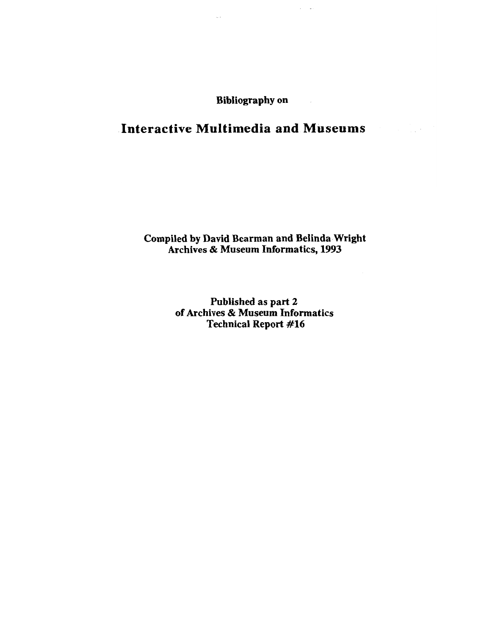**Bibliography on** 

# **Interactive Multimedia and Museums**

# **Compiled by David Bearman and Belinda Wright Archives** & **Museum Informatics, 1993**

**Published as part 2 of Archives** & **Museum Informatics Technical Report #16**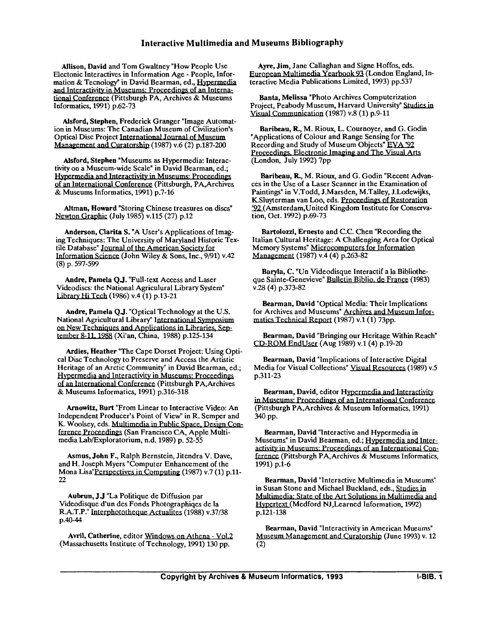Allison, David and Tom Gwaltney "How People Use Electonic Interactives in Information Age - People, Information & Tecnology" in David Bearman, ed., **Hvoermedia**  and Interactivitv in Museums: Proceedines of an International Conference (Pittsburgh PA, Archives & Museums Informatics, 1991) p.62-73

Alsford, Stephen, Frederick Granger "Image Automation in Museums: The Canadian Museum of Civilization's Optical Disc Project Management and Curatorship  $(1987)$  v.6  $(2)$  p.187-200

Alsford, Stephen "Museums **as** Hypermedia: Interactivity on a Museum-wide Scale" in David Bearman, ed.; **Hypermedia and Interactivity in Museums: Proceedings** of an International Conference (Pittsburgh, PA, Archives & Museums Informatics, 1991) p.7-16

Altman, Howard "Storing Chinese treasures on discs" Newton Graphic (July 1985) v.115 (27) p.12

Anderson, Clarita S. "A User's Applications of Imaging Techniques: The University of Maryland Historic Textile Database" Journal of the American Society for Information Science (John Wiley & Sons, Inc., 9/91) v.42 (8) p. 597-599

Andre, Pamela **QJ.** "Full-text Access and Laser Videodiscs: the National Agriculural Library System" Library Hi Tech (1986) v.4 (1) p.13-21

Andre, Pamela Q.J. "Optical Technology at the U.S. National Agricultural Library" International Symposium<br>on New Techniques and Applications in Libraries, September 8-11, 1988 (Xi'an, China, 1988) p.125-134

Ardies, Heather "The Cape Dorset Project: Using Optical Disc Technology to Preserve and Access the Artistic Heritage of an Arctic Community" in David Bearman, ed.; Hypermedia and Interactivity in Museums: Proceedings National Agricultural Library" International Sy<br>on New Techniques and Applications in Library<br>fember 8-11, 1988 (Xi'an, China, 1988) p.125-1<br>Ardies, Heather "The Cape Dorset Project:<br>cal Disc Technology to Preserve and Acc of an International Conference (Pittsburgh PA, Archives & Museums Informatics, 1991) p.316-318

Arnowitz, Burt "From Linear to Interactive Video: An Independent Producer's Point of View" in R. Semper and K. Woolsey, eds. Multimedia in Public Space, Design Conference Proceedings (San Francisco CA, Apple Multimedia Lab/Exploratorium, n.d. 1989) p. 52-55

Asmus, John F., Ralph Bernstein, Jitendra V. Dave, and H. Joseph Myers "Computer Enhancement of the Mona Lisa"Perspectives in Computing (1987) v.7 (1) p.11-22

Aubrun, J.J "La Politique de Diffusion par Videodisque d'un des Fonds Photographiqes de la R.A.T.P." Interphototheque Actualites (1988) v.37/38 p.40-44

Avril, Catherine, editor Windows on Athena - Vol.2 (Massachusetts Institute of Technology, 1991) 130 pp.

Ayre, Jim, Jane Callaghan and Signe Hoffos, eds. European Multimedia Yearbook 93 (London England, Interactive Media Publications Limited, 1993) pp.537

Banta, Melissa "Photo Archives Computerization Project, Peabody Museum, Harvard University" Studies in Visual Communication (1987) v.8 (1) p.9-11

Baribeau, R, M. Rioux, L. Cournoyer, and G. Godin "Applications of Colour and Range Sensing for The Recording and Study of Museum Objects" EVA '92 Proceedings, Electronic Imaging and The Visual Arts (London, July 1992) 7pp

Baribeau, R, M. Rioux, and G. Godin "Recent Advances in the Use of a Laser Scanner in the Examination of Paintings" in V.Todd, J.Marsden, M.Talley, J.Lodewijks, K.Sluyterman van Loo, eds. Proceedings of Restoration '92 (Amsterdam, United Kingdom Institute for Conservation, Oct. 1992) p.69-73

Bartolozzi, Ernesto and C.C. Chen "Recording the Italian Cultural Heritage: A Challenging Area for Optical Memory Systems" Microcomputers for Information **Management** (1987) v.4 (4) p.263-82

Baryla, C. "Un Videodisque Interactif a la Bibliotheque Sainte-Genevieve" Bulletin Biblio. de France (1983) v.28 (4) p.373-82

Bearman, David "Optical Media: Their Implications for Archives and Museums" Archives and Museum Infor-**Bearman, David "Optical Media: Their Implom Archives and Museums" Archives and Mumatics Technical Report (1987) v.1 (1) 73pp.** 

Bearman, David "Bringing our Heritage Within Reach" CD-ROM EndUser (Aug 1989) v.1(4) p.19-20

Bearman, David "Implications of Interactive Digital Media for Visual Collections" Visual Resources (1989) v.5 p.311-23

Bearman, David, editor Hypermedia and Interactivity<br>in Museums: Proceedings of an International Conference (Pittsburgh PA,Archives & Museum Informatics, 1991)

Bearman, David "Interactive and Hypermedia in Museums" in David Bearman, ed.; Hypermedia and Inter-<br>activity in Museums: Proceedings of an International Conference (Pittsburgh PA,Archives & Museums Informatics, 1991) p.1-6

Bearman, David "Interactive Multimedia in Museums" in Susan Stone and Michael Buckland, eds., Studies in Multimedia: State of the Art Solutions in Multimedia and Hypertext (Medford NJ, Learned Information, 1992) p.121-138

Bearman, David "Interactivity in American Mueums" Museum Management and Curatorship (June 1993) v. 12 (2)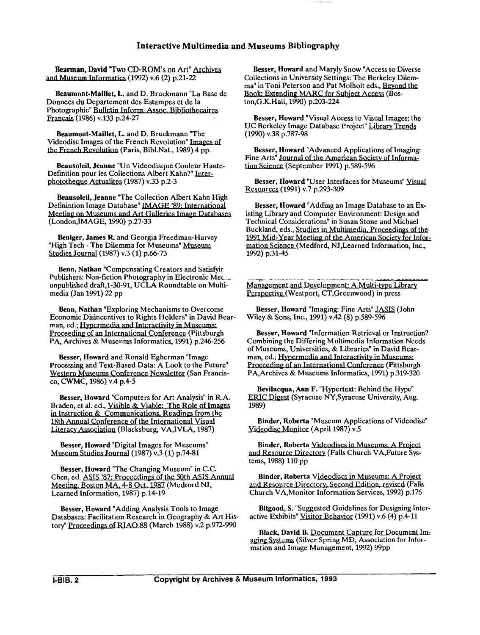Inter<br>Bearman, David "Two CD-ROM<br>and Museum Informatics (1992) v.e Bearman, David "Two CD-ROM's on Art" Archives (1992) v.6 (2) p.21-22

Beaumont-Maillet, L. and D. Bruckmann "La Base de Donnees du Departement des Estampes et de la .<br>Photographie" Bulletin Inform. Assoc. Bibliothecaires Francais (1986) v.133 p.24-27

Beaumont-Maillet, L. and D. Bruckmann "The Videodisc Images of the French Revolution" the French Revolution (Paris, Bibl.Nat., 1989) 4 pp.

Beausoleil, Jeanne "Un Videodisque Couleur Haute-Definition pour les Collections Albert<br>phototheque Actualites (1987) v.33 p.2 phototheque Actualites (1987) v.33 p.2-3 mann "The<br>ution" <u>Images of</u><br>., 1989) 4 pp.<br>e Couleur Haute-<br>Kahn?" <u>Inter-</u><br>-3

Beausoleil, Jeanne "The Collection Albert Kahn High Definintion Image Database" IMAGE '89: International Meeting on Museums and Art Galleries Image Databases (LondonJMAGE, 1990) p.27-33

Beniger, James R. and Georgia Freedman-Harvey "High Tech - The Dilemma for Museums" Museum Studies Journal (1987) v.3 (1) p.66-73

Benn, Nathan "Compensating Creators and Satisfyir Publishers: Non-fiction Photography in Electronic Mec. unpublished draft,l-30-91, UCLA Roundtable on Multimedia (Jan 1991) 22 pp

Benn, Nathan "Exploring Mechanisms to Overcome Economic Disincentives to Rights Holders" in David Bear-<br>man, ed.; Hypermedia and Interactivity in Museums: Nonces du Departement des Estampes et de la Contestante (1980) v.133 p.24-27<br>
Meanumon-Mailletin Inform. Assoc. Bibliotheceares<br>
Meanumon-Mailletin, Land D. Bruckmann The UC Berkeley Image<br>
Meanumon-Mailletin, Land D. Bruc Beaumont-Maillet, L. and D. Bruckmann "La Base de<br>
Book: External (1986) p. 203-22<br>
Moonnecs du Departement des Estampes et de la<br>
ton, G. K. Hail, 1990) p. 203-2<br>
Trancais (1986) v. 133 p. 24-27<br>
Trancais (1986) v. 133 p Proceeding of an International Conference (Pittsburgh PA, Archives & Museums Informatics, 1991) p.246-256

Besser, Howard and Ronald Egherman "Image Processing and Text-Based Data: A Look to the Future" Western Museums Conference Newsletter (San Francis**co,** CWMC, 1986) v.4 p.4-5

Besser, Howard "Computers for Art Analysis" in R.A. Braden, et al. ed., Visible & Viable: The Role of Images in Instruction & Communications, Readings from the 18th Annual Conference of the International Visual Literacy Association (Blacksburg, VA,IVLA, 1987)

Besser, Howard "Digital Images for Museums" Museum Studies Journal (1987) v.3 (1) p.74-81

Besser, Howard "The Changing Museum" in C.C. Chen, ed. ASIS '87: Proceedings of the 50th ASIS Annual Meeting, Boston MA, 4-8 Oct. 1987 (Medrord NJ, Learned Information, 1987) p.14-19

Besser, Howard "Adding Analysis Tools to Image Databases: Facilitation Research in Geography & Art History" Proceedings of RIAO 88 (March 1988) v.2 p.972-990

Besser, Howard and Maryly Snow "Access to Diverse Collections in University Settings: The Berkeley Dilemma" in Toni Peterson and Pat Molholt eds., Beyond the Book: Extending MARC for Subject Access (Boston,G.K.Hall, 1990) p.203-224

Besser, Howard "Visual Access to Visual Images: the UC Berkeley Image Database Project" Library Trends (1990) v.38 p.787-98

Besser, Howard "Advanced Applications of Imaging: Fine Arts" Journal of the American Society of Informa-<br>Fine Arts" Journal of the American Society of Informa-<br>tion Science (September 1991) p.589-596

Besser, Howard "User Interfaces for Museums" Visual Resources (1991) v.7 p.293-309

Besser, Howard "Adding an Image Database to an Ex isting Library and Computer Environment: Design and Technical Considerations" in Susan Stone and Michael mation Science (Medford, NJ,Learned Information, Inc., Buckland, eds., Studies in Multimedia, Proceedings of the 1991 Mid-Year Meeting of the American Society for Infor-Is Bibliography<br>
Soward and Maryly Snow "Access to Diverse<br>
in University Settings: The Berkeley Dilem-<br>
Peters on and Pat Molholt eds., <u>Beyond the</u><br>
Iding MARC for Subject Access (Bos-<br>
Il, 1990) p.203-224<br>
Howard "Visua 1992) p.31-45 Besser, Howard "Advanced Applications of Imaging:<br>
line Arts' Journal of the American Society of Informa-<br>
Science (September 1991) p.599-596<br>
Besser, Howard "User Interfaces for Museums" Visual<br>
Resources (1991) v.7 p.293

Image Collections" in G. Handman, ed., Management and Development: A Multi-type Library Perspective (Westport, CT, Greenwood) in press

Besser, Howard "Imaging: Fine Arts" JASIS (John Wiley & Sons, Inc., 1991) v.42 (8) p.589-5%

Besser, Howard "Information Retrieval or Instruction? Combining the Differing Multimedia Information Needs of Museums, Universities, & Libraries" in David Bear-<br>man, ed.; Hypermedia and Interactivity in Museums: Comoning the Differing Multimicula Information Necessity<br>
(of Museums, Universities, & Libraries" in David Bear-<br>
man, ed.; Hypermedia and International Conference (Pittsburgh<br>
Proceeding of an International Conference (Pi PA,Archives & Museums Informatics, 1991) p.319-320

Bevilacqua, Ann F. "Hypertext: Behind the Hype" ERIC Digest (Syracuse NY, Syracuse University, Aug. 1989)

Binder, Roberta "Museum Applications of Videodisc" Videodisc Monitor (April 1987) v.5

Binder, Roberta Videodiscs in Museums: A Project and Resource Directory (Falls Church VA, Future Systems, 1988) 110 pp

Binder, Roberta Videodiscs in Museums: A Project and Resource Directory, Second Edition, revised (Falls Church VA,Monitor Information Services, 1992) p.176

Bitgood, S. "Suggested Guidelines for Designing Interactive Exhibits" Visitor Behavior (1991) v.6 (4) p.4-11

Black, David B. Document Capture for Document Imaging Systems (Silver Spring MD, Association for Information and Image Management, 1992) 99pp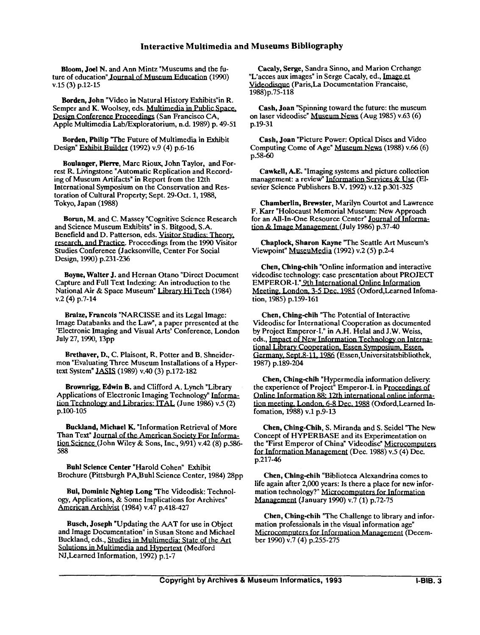Bloom, Joel N. and Ann Mintz "Museums and the future of education" Journal of Museum Education (1990)<br>v.15 (3) p.12-15

Borden, John "Video in Natural History Exhibits"in R. Semper and K. Woolsey, eds. ME (3) p.12<br> **Borden, John "Video in Natural History Conference Proceedings (San Annie Mature Proceedings (San Annie Mature Annie Mature Annie Mature Annie Mature<br>
Annie Multimedia Lab/Exploratorius** Design Conference Proceedings (San Francisco CA, Apple Multimedia Lab/Exploratorium, n.d. 1989) p. 49-51

Borden, Philip "The Future of Multimedia in Exhibit Design" Exhibit Builder (1992) v.9 (4) p.6-16

Boulanger, Pierre, Marc Rioux, John Taylor, and Forrest R. Livingstone "Automatic Replication and Recording of Museum Artifacts" in Report from the 12th International Symposium on the Conservation and Restoration of Cultural Property; Sept. 29-Oct. 1, 1988, Tokyo, Japan (1988)

Borun, M. and C. Massey "Cognitive Science Research and Science Museum Exhibits" in S. Bitgood, S.A. Benefield and D. Patterson, eds. research, and Practice. Proceedings from the 1990 Visitor Studies Conference (Jacksonville, Center For Social Design, 1990) p.231-236

Boyne, Walter J. and Hernan Otano "Direct Document Capture and Full Text Indexing: An introduction to the National Air & Space Museum" Library Hi Tech (1984) v.2 (4) p.7-14

Braize, Francois "NARCISSE and its Legal Image: Image Databanks and the Law", a paper prresented at the 'Electronic Imaging and Visual Arts' Conference, London July 27,1990,13pp

Brethaver, D., C. Plaisont, R. Potter and B. Shneidermon "Evaluating Three Museum Installations of a Hypertext System" JASIS (1989) v.40 (3) p.172-182

Brownrigg, Edwin B. and Clifford A. Lynch "Library Applications of Electronic Imaging Technology" Information Technology and Libraries: ITAL (June 1986) v.5 (2) p.100-105

Buckland, Michael **K.** "Information Retrieval of More Than Text" Journal of the American Society For Informa- $\underline{\text{tion Science}}$  (John Wiley & Sons, Inc., 9/91) v.42 (8) p.586-588

Buhl Science Center "Harold Cohen" Exhibit Brochure (Pittsburgh PA,Buhl Science Center, 1984) 28pp

Bui, Dominic Nghiep Long "The Videodisk: Technology, Applications, & Some Implications for Archives" **Ame\_rican~** (1984) v.47 p.418-427

Busch, Joseph "Updating the AAT for use in Object and Image Documentation" in Susan Stone and Michael Buckland, eds., Studies in Multimedia: State of the Art Solutions in Multimedia and Hypertext (Medford NJ, Learned Information, 1992) p.1-7

Cacaly, Serge, Sandra Sinno, and Marion Crehange "L'acces aux images" in Serge Cacaly, ed., Image et Videodisque (Paris,La Documentation Francaise, 1988)p.75-118

Cash, Joan "Spinning toward the future: the museum on laser videodisc" Museum News (Aug 1985) v.63 (6) p.19-31

Cash, Joan "Picture Power: Optical Discs and Video Computing Come of Age" Museum News (1988) v.66 (6) p.58-60

Cawkell, A.E. "Imaging systems and picture collection management: a review" Information Services & Use (Elsevier Science Publishers B.V. 1992) v.12 p.301-325

Chamberlin, Brewster, Marilyn Courtot and Lawrence F. Karr "Holocaust Memorial Museum: New Approach for an All-In-One Resource Center" Journal of Information & Image Management (July 1986) p.37-40

Chaplock, Sharon Kayne "The Seattle Art Museum's Viewpoint" MuseuMedia (1992) v.2 (5) p.2-4

Chen, Ching-chih "Online information and interactive videodisc technology: case presentation about PROJECT EMPEROR-I." 9th International Online Information Meeting, London, 3-5 Dec. 1985 (Oxford,Learned Infomation, 1985) p.159-161

Chen, Ching-chih "The Potential of Interactive Videodisc for International Cooperation as documented by Project Emperor-I." in A.H. Helal and J.W. Weiss, eds., Impact of New Information Technology on International Library Cooperation, Essen Symposium, Essen,<br>Germany, Sept. 8-11, 1986 (Essen,Universitatsbibliothek,<br>Germany, Sept. 8-11, 1986 (Essen,Universitatsbibliothek, 1987) p.189-204

Chen, Ching-chih "Hypermedia information delivery: the experience of Project" Emperor-I. in Proceedings of Online Information 88: 12th international online information meeting, London, 6-8 Dec. 1988 (Oxford, Learned Infomation, 1988) v.1 p.9-13

Chen, Ching-Chih, S. Miranda and S. Seidel "The New Concept of HYPERBASE and its Experimentation on the "First Emperor of China" Videodisc" Microcomputers for Information Management (Dec. 1988) v.5 (4) Dec. p.217-46

Chen, Ching-chih "Biblioteca Alexandrina comes to life again after 2,000 years: Is there a place for new information technology?" Microcomputers for Information **Management** (January 1990) v.7 (1) p.72-75

Chen, Ching-chih "The Challenge to library and infor-Chen, Ching-Chin The Chantelige to horary and<br>
mation professionals in the visual information age"<br>
Microcomputers for Information Management (De Microcomputers for Information Management (December 1990) v.7 (4) p.255-275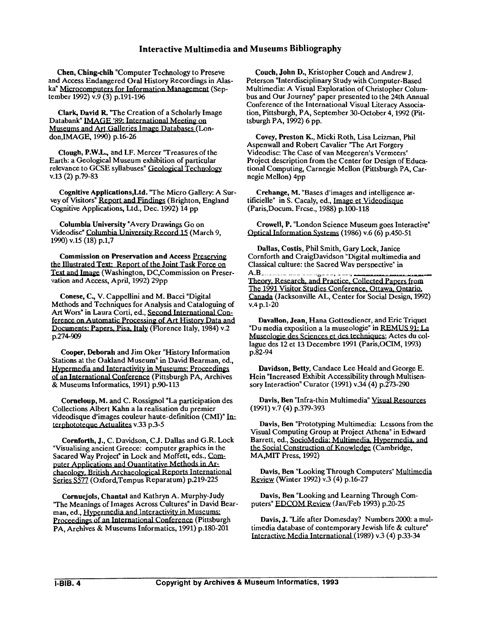Chen, Ching-chih "Computer Technology to Preseve Lea, Ching-Chin Computer 1 ecnnology to Preseve<br>
and Access Endangered Oral History Recordings in Alas-<br>
ka<sup>n</sup> Microcomputers for Information Management (September 1992) v.9 (3) p.191-196

Clark, David R. "The Creation of a Scholarly Image Databank" **IMAGE** '89: International Meeting on Museums and Art Galleries Image Databases (London,IMAGE, 1990) p.16-26

Clough, P.W.L., and I.F. Mercer "Treasures of the Earth: a Geological Museum exhibition of particular relevance to GCSE syllabuses" v.13 (2) p.79-83

Cognitive Applications, Ltd. "The Micro Gallery: A Survey of Visitors" Report and Findings (Brighton, England Cognitive Applications, Ltd., Dec. 1992) 14 pp

Columbia University "Avery Drawings Go on Videodisc" Columbia University Record 15 (March 9, 1990) v.15 (18) p.1,7

Commission on Preservation and Access Preserving Commission on Preservation and Access <u>Preserving</u><br>
the Illustrated Text: Report of the Joint Task Force on<br>
Text and Image (Washington, DC,Commission on Preser-<br>
ustion and Access April 1992) 29pp vation and Access, April, 1992) 29pp

Conese, C., V. Cappellini and M. Bacci "Digital Methods and Techniques for Analysis and Cataloguing of Art Wors" in Laura Corti, ed., Second International Conference on Automatic Processing of Art History Data and Documents: Papers, Pisa, Italy (Florence Italy, 1984) v.2 p.274-909

Cooper, Deborah and Jim Oker "History Information Stations at the Oakland Museum" in David Bearman, ed., Art Wors" in Laura Cort, ed., Second International Con-<br>Art Wors" in Laura Corti, ed., Second International Con-<br>ference on Automatic Processing of Art History Data and<br>Documents: Papers, Pisa, Italy (Florence Italy, 1984) of an International Conference (Pittsburgh PA, Archives & Museums Informatics, 1991) p.90-113

Corneloup, M. and C. Rossignol "La participation des Collections Albert **Kahn** a la realisation du premier videodisque d'images couleur haute-definition (CMI)" terphototeque Actualites v.33 p.3-5

Cornforth, J., C. Davidson, C.J. Dallas and G.R. Lock "Visualising ancient Greece: computer graphics in the Sacared Way Project" in Lock and Moffett, eds., Computer Applications and Ouantitative Methods in Archaeology, British Archaeological Reports International Series S577 (Oxford,Tempus Reparatum) p.219-225

Cornuejols, Chantal and Kathryn A. Murphy-Judy ''The Meanings of Images Across Cultures" in David Bearman, ed., Hvpermedia and Interactivitv in Museums: Proceedings of an International Conference (Pittsburgh PA, Archives & Museums Informatics, 1991) p.180-201

Couch, John D., Kristopher Couch and Andrew J. Peterson "Interdisciplinary Study with Computer-Based Multimedia: A Visual Exploration of Christopher Columbus and Our Journey" paper presented to the 24th Annual Conference of the International Visual Literacy Association, Pittsburgh, PA, September 30-October 4,1992 (Pittsburgh PA, 1992) 6 pp.

Covey, Preston K., Micki Roth, Lisa Leizman, Phil Aspenwall and Robert Cavalier "The Art Forgery Videodisc: The Case of van Meegeren's Vermeers" Project description from the Center for Design of Educational Computing, Carnegie Mellon (Pittsburgh PA, Carnegie Mellon) 4pp

Crehange, M. "Bases d'images and intelligence artificielle" in S. Cacaly, ed., Image et Videodisque (Paris,Docum. Frcse., 1988) p.100-118

Crowell, P. "London Science Museum goes Interactive" Optical Information Systems (1986) v.6 (6) p.450-51

Dallas, Costis, Phil Smith, Gary Lock, Janice Cornforth and CraigDavidson "Digital multimedia and Classical culture: the Sacred Way perspective" in  $A.B$ Theory, Research, and Practice, Collected Papers from<br>The 1991 Visitor Studies Conference, Ottawa, Ontario, Canada (Jacksonville AL, Center for Social Design, 1992) v.4 p.1-20

Davallon, Jean, Hana Gottesdiener, and Eric Triquet Davallon, Jean, Hana Gottesdiener, and Eric<br>"Du media exposition a la museologie" in REMI<br>Museologie des Sciences et des techniques; Acte "Du media exposition a la museologie" in **REMUS 91: La** Museologie des Sciences et des techniques; Actes du collague des 12 et 13 Decembre 1991 (Paris,OCIM, 1993) p.82-94

Davidson, Betty, Candace Lee Heald and George E. Hein "Increased Exhibit Accessibility through Multisensory Interaction" Curator (1991) v.34 (4) p.273-290

Davis, Ben "Infra-thin Multimedia" Visual Resources (1991) v.7 (4) p.379-393

Davis, Ben "Prototyping Multimedia: Lessons from the Visual Computing Group at Project Athena" in Edward Barrett, ed., SocioMedia: Multimedia, Hypermedia, and the Social Construction of Knowledge (Cambridge, MA,MIT Press, 1992)

Davis, Ben "Looking Through Computers" Multimedia Review (Winter 1992) v.3 (4) p.16-27

Davis, Ben "Looking and Learning Through Computers" EDCOM Review (Jan/Feb 1993) p.20-25

Davis, J. "Life after Domesday? Numbers 2000: a multimedia database of contemporary Jewish life  $&$  culture" Interactive Media International (1989) v.3 (4) p.33-34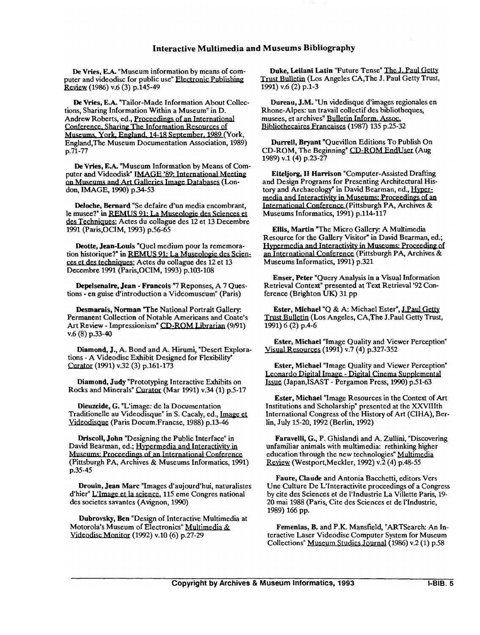**De Vries, E.A. "Museum information by means of com-** puter and videodisc for public use" **Electronic Publishing** (1986) v.6 (3) p.145-49

De Vries, E.A. "Tailor-Made Information About Collections, Sharing Information Within a Museum" in D. Andrew Roberts, ed., Proceedings of an International Conference, Sharing The Information Resources of Museums, York, England, 14-18 September, 1989 (York England,The Museum Documentation Association, 1989) p.71-77

De Vries, EA. "Museum Information by Means of Com puter and Videodisk" IMAGE '89: International Meeting on Museums and Art Galleries Image Databases (London, IMAGE, 1990) p.34-53

Deloche, Bernard "Se defaire **d'un** media encombrant, le musee?" in <u>REMUS 91: La</u> des Techniques; Actes du collague des 12 et 13 Decembre 1991 (Paris,OCIM, 1993) p.56-65

Deotte, Jean-Louis "Quel medium pour la rememora-1991 (Paris, OCIM, 1993) p.36-63<br>Deotte, Jean-Louis "Quel medium po<br>tion historique?" in <u>REMUS 91: La Mu</u><br>ces et des techniques; Actes du collagu<br>Decembre 1991 (Paris, OCIM, 1993) p. tion historique?" in **REMUS 91: La Museologie des Scien**ces et des techniques; Actes du collague des 12 et 13 Decembre 1991 (Paris,OCIM, 1993) p.103-108

Depelsenaire, Jean - Francois "7 Reponses, A 7 Questions - en guise d'introduction a Videomuseum" (Paris)

Desmarais, Norman "The National Portrait Gallery: Permanent Collection of Notable Americans and Coate's Art Review - Impressionism" CD-ROM Librarian (9/91) v.6 (8) p.33-40

Diamond, J., A. Bond and A. Hirumi, "Desert Explorations - A Videodisc Exhibit Designed for Flexibility" Curator (1991) v.32 (3) p.161-173

Diamond, Judy "Prototyping Interactive Exhibits on Rocks and Minerals" Curator (Mar 1991) v.34 (1) p.5-17

Dieuzeide, G. "L'image: de la Documentation Traditionelle au Videodisque" in S. Cacaly, ed., Videodisque (Paris Docum.Francse, 1988) p.13-46

Driscoll, John "Designing the Public Interface" in David Bearman, ed.; Hypermedia and Interactivity in Museums: Proceedings of an International Conference<br>(Pittsburgh PA, Archives & Museums Informatics, 1991) p.35-45

Drouin, Jean Marc "Images d'aujourd'hui, naturalistes d'hier" L'Image et la science, 115 eme Congres national des societes savantes (Avignon, 1990)

Dubrovsky, Ben "Design of Interactive Multimedia at Motorola's Museum of Electronics" Multimedia & Videodisc (1992) v.10 (6) p.27-29

Duke, Leilani Latin "Future Tense" The J. Paul Getty<br>Trust Bulletin (Los Angeles CA,The J. Paul Getty Trust,<br>1991) w (2) n 1.2 1991) v.6 (2) p.1-3

Dureau, J.M. "Un videdisque d'images regionales en Rhone-Alpes: **un** travail collectif des bibliotheques, musees, et archives" Bulletin Inform. Assoc. Bibliothecaires Francaises (1987) 135 p.25-32

Durrell. Bryant "Quevillon Editions To Publish On CD-ROM, The Beginning" CD-ROM EndUser (Aug 1989) v.l(4) p.23-27

Eiteljorg, **I1** Harrison "Computer-Assisted Drafting and Design Programs for Presenting Architectural History and Archaeology" in David Bearman, ed., Hyper-**Bibliothecaires Francaises** (1987) 135 p.23-32<br> **Durrell, Bryant "Quevillon Editions To Publish On**<br>
CD-ROM, The Beginning" CD-ROM EndUser (Aug<br>
1989) v.1 (4) p.23-27<br> **Eiteljorg, II Harrison** "Computer-Assisted Drafting media and Interactivity in Museums: Proceedings of an International Conference (Pittsburgh PA, Archives & Museums Informatics, 1991) p.114-117

Ellis, Martin "The Micro Gallery A Multimedia Resource for the Gallery Visitor" in David Bearman, ed.;<br>Hypermedia and Interactivity in Museums: Proceeding of an International Conference (Pittsburgh PA, Archives & Museums Informatics, 1991) p.321

Enser, Peter "Query Analysis in a Visual Information Retrieval Context" presented at Text Retrieval '92 Conference (Brighton UK) 31 pp

Ester, Michael "Q & A: Michael Ester", J.Paul Getty Trust Bulletin (Los Angeles, CA,The J.Paul Getty Trust, 1991) 6 (2) p.4-6

Ester, Michael "Image Quality and Viewer Perception" Visual (1991) v.7 (4) p.327-352

**Ester, Michael "Image Quality and Viewer Perception"** Leonardo Digital Image - Digital Cinema Supplemental (Japan,ISAST - Pergamon Press, 1990) p.51-63

Ester, Michael "Image Resources in the Context of Art Institutions and Scholarship" presented at the XXVIIIth International Congress of the History of Art (CIHA), Berlin, July 15-20,1992 (Berlin, 1992)

Faravelli, G., P. Ghislandi and A. ZuUini, "Discovering unfamiliar animals with multimedia: rethinking higher education through the new technologies" Multimedia Review (Westport,Meckler, 1992) v.2 (4) p.48-55

Faure, Claude and Antonia Bacchetti, editors Vers Une Culture De L'Interactivite proceedings of a Congress by cite des Sciences et de 1'Industrie La Villette Paris, 19- 20 mai 1988 (Paris, Cite des Sciences et de l'hdustrie, 1989) 166 pp.

Femenias, B. and P.K. Mansfield, "ARTSearch: An Interactive Laser Videodisc Computer System for Museum Collections" Museum Studies Journal (1986) v.2 (1) p.58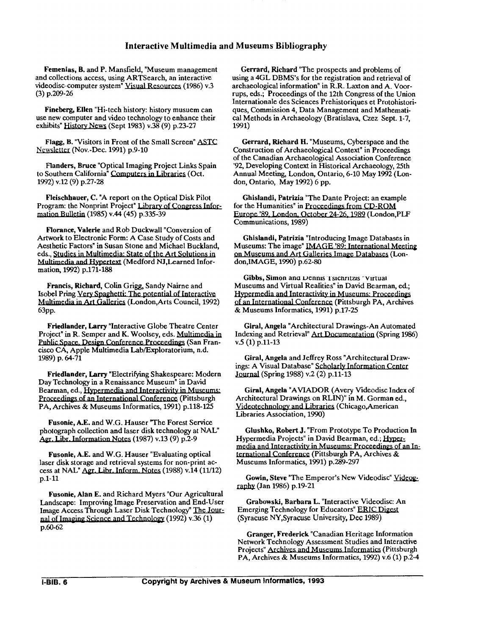Femenias, B. and P. Mansfield, "Museum management and collections access, using ARTSearch, an interactive videodisc-computer system" Visual Resources (1986) v.3 (3) p.209-26

Fineberg, Ellen "Hi-tech history: history musuem can use new computer and video technology to enhance their exhibits"  $H$ istory News (Sept 1983) v.38 (9) p.23-27

Flagg, **B.** "Visitors in Front of the Small Screen" ASTC Newsletter (Nov.-Dec. 1991) p.9-10

Flanders, Bruce "Optical Imaging Project Links Spain to Southern California" *Computers* in Libraries (Oct. 1992) v.12 (9) p.27-28

Fleischhauer, C. "A report on the Optical Disk Pilot Program: the Nonprint Project" Library of<br>mation Bulletin (1985) v.44 (45) p.335-39

Florance, Valerie and Rob Duckwall "Conversion of Artwork to Electronic Form: A Case Study of Costs and Aesthetic Factors" in Susan Stone and Michael Buckland, eds., Studies in Multimedia: State of the Art Solutions in<br>Multimedia and Hypertext (Medford NJ,Learned Information, 1992) p.171-188 Flanders, Bruce "Optical Imaging Project Links Spain<br>
92, Develop of Suchiera California<sup>2</sup> Computers in Libraries (Oct.<br>
92, Develop<br>
992) v.12 (9) p.27-28<br>
160 contracts Computers in Libraries (Oct.<br>
161 contracts don, Flanders, Bruce "Optical Imaging Project Links Spain of the Canadian Archaeo Southern California Computers in Libraries (Oct. Annual Meeting, London (Signal Meeting) (1972-28<br>
1992) v.12 (9) p.27-28<br>
Fluischhauer, C. 'A r

Francis, Richard, Colin Grigg, Sandy Nairne and Isobel Pring Very Spaghetti: The potential of Interactive<br>Multimedia in Art Galleries (London,Arts Council, 1992) 63<sub>pp.</sub>

Friedlander, Larry "Interactive Globe Theatre Center Multimedia in Art Galleries (London, Arts Council,<br>63pp.<br>**Friedlander, Larry "I**nteractive Globe Theatre C.<br>Project" in R. Semper and K. Woolsey, eds. Multime<br>Public Space, Design Conference Proceedings (Sancisco CA, Apple Project" in R. Semper and K. Woolsey, eds. <u>Multimedia in</u> Public Space, Design Conference Proceedings (San Francisco CA, Apple Multimedia Lab/Exploratorium, n.d. 1989) p. 64-71

Friedlander, Larry "Electrifying Shakespeare: Modern Day Technology in a Renaissance Museum" in David<br>Bearman, ed., Hypermedia and Interactivity in Museums: Proceedings of an International Conference (Pittsburgh PA, Archives & Museums Informatics, 1991) p.118-125

Fusonie, A.E. and W.G. Hauser The Forest Service photograph collection and laser disk technology at NAL" Agr. Libr. Information Notes (1987) v.13 (9) p.2-9

Fusonie, A.E. and W.G. Hauser "Evaluating optical laser disk storage and retrieval systems for non-print access at NAL" Agr. Libr. Inform. Notes (1988) v.14 (11/12) p.1-11

Fusonie, Alan E. and Richard Myers "Our Agricultural Landscape: Improving Image Preservation and End-User Fig. Electromation Foles (1507) VLD (5) p.<br>Fusonie, A.E. and W.G. Hauser "Evaluating<br>laser disk storage and retrieval systems for non<br>cess at NAL" Agr. Libr. Inform. Notes (1988) v<br>p.1-11<br>Fusonie, Alan E. and Richard Myers Image Access Through Laser Disk Technology" The Jour nal of Imaging Science and Technology (1992) v.36 (1) p.60-62

Gerrard, Richard "The prospects and problems of using a 4GL DBMS's for the registration and retrieval of archaeological information" in R.R. Laxton and A. Voorrups, eds.; Proceedings of the 12th Congress of the Union Internationale des Sciences Prehistoriques et Protohistoriques, Commission 4, Data Management and Mathematical Methods in Archaeology (Bratislava, Czez Sept. 1-7, 1991)

Gerrard, Richard H. "Museums, Cyberspace and the Construction of Archaeological Context" in Proceedings of the Canadian Archaeological Association Conference '92, Developing Context in Historical Archaeology, 25th Annual Meeting, London, Ontario, 6-10 May 1992 (London, Ontario, May 1992) 6 pp. the 12th Congress of the Union<br>S Prehistoriques et Protohistori-Management and Mathemati-Management and Mathemati-<br>Museums, Cyberspace and the<br>gigal Context" in Proceedings<br>discussion Conference<br>Historical Acchaeology, 25t

Ghislandi, Patrizia "The Dante Project: an example for the Humanities" in Proceedings from CD-ROM Europe '89, London, October 24-26, 1989 (London, PLF Communications, 1989)

Ghislandi, Patrizia "Introducing Image Databases in Museums: The image" IMAGE '89: International Meeting<br>on Museums and Art Galleries Image Databases (London,IMAGE, 1990) p.62-80

Gibbs, Simon and Dennis Tsichritzis "Virtual Museums and Virtual Realities" in David Bearman, ed.;<br>Hypermedia and Interactivity in Museums: Proceedings Ghislandi, Patrizia "Introducing Image Data<br>
Museums: The image" <u>IMAGE '89: Internation</u><br>
on Museums and Art Galleries Image Database<br>
don, IMAGE, 1990) p.62-80<br>
Gibbs, Simon and Dennis Tsichritzis "Virtua<br>
Museums and Vi of an International Conference (Pittsburgh PA, Archives & Museums Informatics, 1991) p.17-25

Giral, Angela "Architectural Drawings-An Automated Indexing and Retrieval" Art Documentation (Spring 1986) v.5 (1) p.11-13

Giral, Angela and Jeffrey Ross "Architectural Draw-Journal (Spring 1988) v.2 (2) p.11-13 ings: A Visual Database"

Giral, Angela "AVIADOR (Avery Videodisc Index of Architectural Drawings on RLIN)" in M. Gorman ed., Videotechnology and Libraries (Chicago, American Libraries Association, 1990)

Glushko, Robert J. "From Prototype To Production In Hypermedia Projects" in David Bearman, ed.; *Hyper=*  media and Interactivity in Museums: Proceedings of an International Conference (Pittsburgh PA, Archives & Museums Informatics, 1991) p.289-297

Gowin, Steve "The Emperor's New Videodisc" Videography (Jan 1986) p.19-21

Grabowski, Barbara L. "Interactive Videodisc: An Emerging Technology for Educators" ERIC Digest (Syracuse NY,Syracuse University, Dec 1989)

Granger, Frederick "Canadian Heritage Information Network Technology Assessment Studies and Interactive Granger, Frederick "Canadian Heritage Information<br>Network Technology Assessment Studies and Interactive<br>Projects" Archives and Museums Informatics (Pittsburgh<br>PA. Archives & Museums Informatics, 1992) v.6 (1) p.2-4 PA, Archives & Museums Informatics, 1992) v.6 (1) p.2-4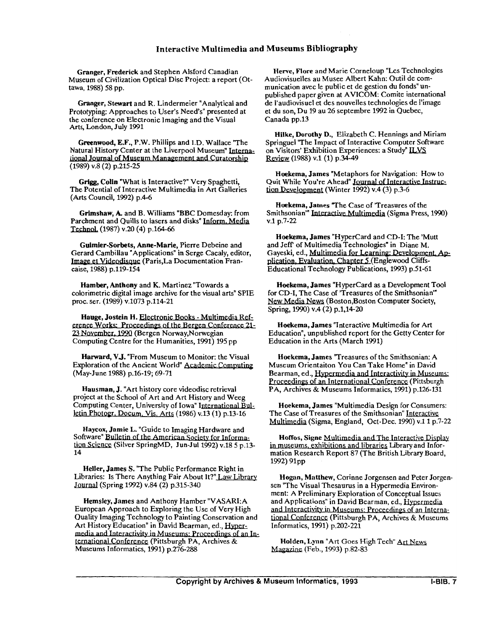Granger, Frederick and Stephen Alsford Canadian Museum of Civilization Optical Disc Project: a report (Ottawa, 1988) 58 pp.

Granger, Stewart and R. Lindermeier "Analytical and Prototyping: Approaches to User's Need's" presented at the conference on Electronic Imaging and the Visual Arts. London, July 1991

Greenwood, E.F., P.W. Phillips and I.D. Wallace "The Natural History Center at the Liverpool Museum" International Journal of Museum Management and Curatorship (1989) v.8 (2) p.215-25

**Grigg,** Colin "What is Interactive?" Very Spaghetti, The Potential of Interactive Multimedia in Art Galleries (Arts Council, 1992) p.4-6

Grimshaw, A. and B. Williams "BBC Domesday: from Parchment and Quills to lasers and disks" Inform. Media Technol. (1987) v.20 (4) p.164-66

Guimier-Sorbets, Anne-Marie, Pierre Debeine and Gerard Cambillau "Applications" in Serge Cacaly, editor, Image et Videodisque (Paris,La Documentation Francaise, 1988) p.119-154

Hamber, Anthony and K. Martinez "Towards a colorimetric digital image archive for the visual arts" SPIE proc. ser. (1989) v.1073 p.114-21

Hauge, Jostein H. Electronic Books - Multimedia Ref-<br>erence Works: Proceedings of the Bergen Conference 21-23 November, 1990 (Bergen Norway, Norwegian Computing Centre for the Humanities, 1991) 195 pp

Harward, V.J. "From Museum to Monitor: the Visual Exploration of the Ancient World" Academic Computing (May-June 1988) p.16-19; 69-71

Hausman, J. "Art history core videodisc retrieval project at the School of Art and Art History and Weeg Computing Center, University of Iowa" International Bulletin Photogr, Docum. Vis. Arts (1986) v.13 (1) p.13-16

Haycox, Jamie L. "Guide to Imaging Hardware and Software" Bulletin of the American Society for Informalion Science (Silver SpringMD, Jun-Jul 1992) v.18 **5** p.13- 14

Heller, James S. "The Public Performance Right in Libraries: Is There Anything Fair About It?" Law Library Journal (Spring 1992) v.84 (2) p.315-340

Hemsley, James and Anthony Hamber "VASAR1:A European Approach to Exploring the Use of Very High Quality Imaging Technology to Painting Conservation and Art History Education" in David Bearman, ed., Hyper-<br>media and Interactivity in Museums: Proceedings of an International Conference (Pittsburgh PA, Archives & Museums Informatics, 1991) p.276-288

Herve, Flore and Marie Corneloup **"Les** Technologies Audiovisuelles au Musee Albert Kahn: Outil de communication avec le public et de gestion du fonds" unpublished paper given at AVICOM: Comite international de l'audiovisuel et des nouvelles technologies de l'image et du son, Du 19 au 26 septembre 1992 in Quebec, Canada pp.13

Hilke, Dorothy D., Elizabeth C. Hennings and Miriam Springuel "The Impact of Interactive Computer Software on Visitors' Exhibition Experiences: a Study" ILVS Review (1988) v.1 (1) p.34-49

Hoekema, James "Metaphors for Navigation: How to Quit While You're Ahead" Journal of Interactive Instruction Development (Winter 1992) v.4 (3) p.3-6

Hoekema, James "The Case of 'Treasures of the Smithsonian'" Interactive Multimedia (Sigma Press, 1990) v.1 p.7-22

Hoekema, James "Hypercard and CD-I: The 'Mutt and Jeff of Multimedia Technologies" in Diane M. Gayeski, ed., Multimedia for Learning: Development. Application, Evaluation, Chapter 5 (Englewood Cliffs-Educational Technology Publications, 1993) p.51-61

Hoekema, James "Hypercard as a Development Tool for CD-I, The Case of 'Treasures of the Smithsonian'" New Media News (Boston,Boston Computer Society, Spring, 1990) v.4 (2) p.1,14-20

Hoekema, James "Interactive Multimedia for Art Education", unpublished report for the Getty Center for Education in the Arts (March 1991)

Hoekema, James 'Treasures of the Smithsonian: A Bearman, ed., Hypermedia and Interactivity in Museums: Proceedings of an International Conference (Pittsburgh PA, Archives & Museums Informatics, 1991) p.126-131

Hoekema, James "Multimedia Design for Consumers: The Case of Treasures of the Smithsonian" Interactive Multimedia (Sigma, England, Oct-Dec. 1990) v.1 1 p.7-22

Hoffos, Signe Multimedia and The Interactive Display in museums, exhibitions and libraries Library and Information Research Report 87 (The British Library Board, 1992) 91pp

Hogan, Matthew, Corinne Jorgensen and Peter Jorgensen "The Visual Thesaurus in a Hypermedia Environment: A Preliminary Exploration of Conceptual Issues and Applications" in David Bearman, ed., **Hvoermedia**  and Interactivity in Museums: Proceedings of an International Conference (Pittsburgh PA, Archives & Museums Informatics, 1991) p.202-221

Holden, Lynn "Art Goes High Tech" Art News Magazine (Feb., 1993) p.82-83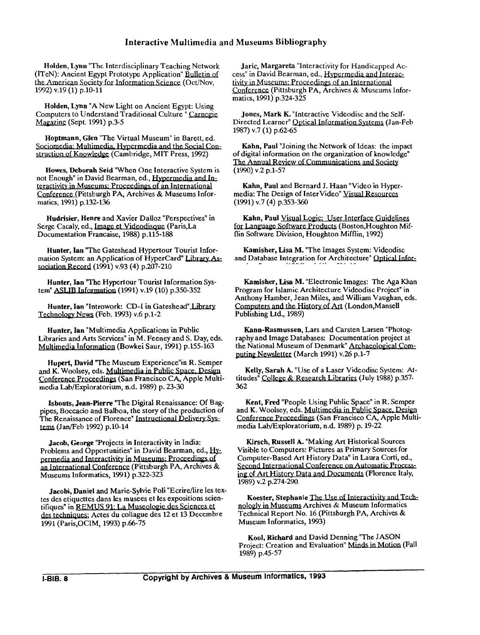Holden, Lynn "The Interdisciplinary Teaching Network Interactive Multimedia and Mu<br>
Holden, Lynn "The Interdisciplinary Teaching Network<br>
(ITeN): Ancient Egypt Prototype Application" Bulletin of<br>
the American Society for Information Science (Oct/Nov,<br>
1992) v.19 (1) p.10-11<br> (ITeN): Ancient Egypt Prototype Application" Bulletin af the American Society for Information Science (Oct/Nov, 1992) v.19 (1) p.10-11

Holden, Lynn "A New Light on Ancient Egypt: Using Computers to Understand Traditional Culture " Carnegie Magazine (Sept. 1991) p.3-5

Hoptmann, Glen "The Virtual Museum" in Barett, ed. Sociomedia: Multimedia, Hypermedia and the Social Construction of Knowledge (Cambridge, MIT Press, 1992)

Howes, Deborah Seid "When One Interactive System is not Enough" in David Bearman, ed., Hypermedia and Interactivity in Museums: Proceedings of an International Conference (Pittsburgh PA, Archives & Museums Informatics, 1991) p.132-136

Hudrisier, Henre and Xavier Dalloz "Perspectives" in Serge Cacaly, ed., Image et Videodisque (Paris, La Documentation Francaise, 1988) p.115-188

Hunter, Ian 'The Gateshead Hypertour Tourist Information System: an Application of HyperCard" Library Association Record (1991) v.93 (4) p.207-210

Hunter, Ian "The Hypertour Tourist Information System" ASLIB Information (1991) v.19 (10) p.350-352

Hunter, Ian "Introwork: CD-I in Gateshead" Library Technolow News (Feb. 1993) v.6 p.1-2

Hunter, Ian "Multimedia Applications in Public Libraries and Arts Services" in M. Feeney and S. Day, eds. Multimedia Information (Bowkei Saur, 1991) p.155-163

Hupert, David "The Museum Experience" in R. Semper and K. Woolsey, eds. Multimedia in Public Space, Design Conference Proceedings (San Francisco CA, Apple Multimedia Lab/Exploratorium, n.d. 1989) p. 23-30

Isbouts, Jean-Pierre "The Digital Renaissance: Of Bagpipes, Boccacio and Balboa, the story of the production of The Renaissance of Florence" Instructional Delivery Systems (Jan/Feb 1992) p.10-14

Jacob, George "Projects in Interactivity in India: Problems and Opportunities" in David Bearman, ed., Hypermedia and Interactivity in Museums: Proceedings of Isbouts, Jean-Pierre "The Digital Renaissance: Of Bag<br>pipes, Boccacio and Balboa, the story of the production of<br>The Renaissance of Florence" Instructional Delivery Sys-<br>tems (Jan/Feb 1992) p.10-14<br>Jacob, George "Projects Museums Informatics, 1991) p.322-323

Jacobi, Daniel and Marie-Sylvie Poli "Ecrire/lire les textes des etiquettes dans les musees et les expositions scientifiques" in REMUS 91: La Museologie des Sciences et des techniques; Actes du collague des 12 et 13 Decembre 1991 (Paris,OCIM, 1993) p.66-75

Jaric, Margareta "Interactivity for Handicapped Access" in David Bearman, ed., Hypermedia and Interactivity in Museums: Proceedings of an International Conference (Pittsburgh PA, Archives & Museums Informatics, 1991) p.324-325 Sabliography<br>
reareta "Interactivity for Handicapped Ac-<br>
d Bearman, ed., Hypermedia and Interac-<br>
eums: Proceedings of an International<br>
(Pittsburgh PA, Archives & Museums Infor-<br>
p.324-325<br>
ark K. "Interactive Videodisc

Jones, Mark K. "Interactive Videodisc and the Self-Directed Learner" Optical Information Systems (Jan-Feb 1987) v.7 (1) p.62-65

Kahn, Paul "Joining the Network of Ideas: the impact of digital information on the organization of knowledge"

Kahn, Paul and Bernard J. Haan "Video in Hypermedia: The (1991) v.7 (4) p.353-360

Kahn, Paul Visual Logic: User Interface Guidelines<br>for Language Software Products (Boston, Houghton Mif-The Annual Review of Communications and Society<br>
(1990) v.2 p.1-57<br> **Kahn, Paul and Bernard J. Haan "Video in Hyper-**<br>
media: The Design of InterVideo" <u>Visual Resources</u><br>
(1991) v.7 (4) p.353-360<br> **Kahn, Paul <u>Visual Logi**</u> flin Software Division, Houghton Mifflin, 1992)

Kamisher, Lisa M. "The Images System: Videodisc and Database Integration for Architecture" (

Kamisher, Lisa M. "Electronic Images: The Aga Khan Program for Islamic Architecture Videodisc Project" in Anthony Hamber, Jean Miles, and William Vaughan, eds.<br>Computers and the History of Art (London,Mansell Publishing Ltd., 1989)

Kann-Rasmussen, Lars and Carsten Larsen "Photography and Image Databases: Documentation project at the National Museum of Denmark" Archaeological Com-<br>puting Newsletter (March 1991) v.26 p.1-7

Kelly, Sarah A. "Use of a Laser Videodisc System: Attitudes" College & Research Libraries (July 1988) p.357-362

Kent, Fred "People Using Public Space" in R. Semper and K. Woolsey, eds. Multimedia in Public Space, Design Conference Proceedings (San Francisco CA, Apple Multimedia Lab/Exploratorium, n.d. 1989) p. 19-22

Kirsch, Russell A. "Making Art Historical Sources Visible to Computers: Pictures as Primary Sources for Computer-Based Art History Data" in Laura Corti, **ed.,**  ing of Art History Data and Documents (Florence Italy, 1989) v.2 p.274-290,

Koester, Stephanie The Use of Interactivity and Technologly in Museums Archives & Museum Informatics Technical Report No. 16 (Pittsburgh PA, Archives & Museum Informatics, 1993)

Kool, Richard and David Denning "The JASON Project: Creation and Evaluation" Minds in Motion (Fall 1989) p.45-57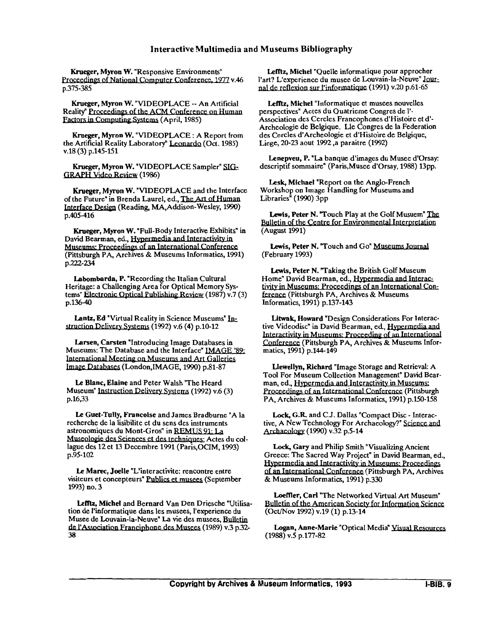Krueger, Myron W. "Responsive Environments" Proceedings of National Computer Conference, 1977 v.46 p.375-385

Krueger, Myron W. "VIDEOPLACE -- An Artificial<br>Reality" Proceedings of the ACM Conference on Human<br>Factors in Computing Systems (April, 1985) Reality" Proceedings of the ACM Conference on Human<br>Factors in Computing Systems (April, 1985)

Krueger, Myron W. "VIDEOPLACE : A Report from the Artificial Reality Laboratory" Leonardo (Oct. 1985) v.18 (3) p.145-151

Krueger, Myron W. "VIDEOPLACE Sampler" **GRAPH Video Review (1986)** 

Krueger, Myron W. "VIDEOPLACE and the Interface of the Future" in Brenda Laurel, ed., The Art of Human Interface (Reading, MA,Addison-Wesley, 1990) p.405-416

Krueger, Myron W. "Full-Body Interactive Exhibits" in David Bearman, ed., Hypermedia and Interactivity in Museums: Proceedings of an International Conference (Pittsburgh PA, Archives & Museums Informatics, 1991) p.222-234

Labombarda, P. "Recording the Italian Cultural<br>Heritage: a Challenging Area for Optical Memory Systems" Electronic Optical Publishing Review (1987) v.7 (3) p.136-40

Lantz, Ed "Virtual Reality in Science Museums" Instruction Delivery Systems (1992) v.6 (4) p.10-12

Larsen, Carsten "Introducing Image Databases in Museums: The Database and the Interface" IMAGE '89: International Meeting on Museums and Art Galleries<br>Image Databases (London,IMAGE, 1990) p.81-87

Le Blanc, Elaine and Peter Walsh "The Heard Museum" Instruction Delivery Systems (1992) v.6 (3) p.16,33

**Le** Guet-Tully, Francoise and James Bradburne "A la recherche de la lisibiite et du sens des instruments Wassima: Proceedings of an International Paper Network (See N. Touch and Go' Museums Journal<br>
Trisburgh PA, Archives & Museums Information, 1993)<br>
2.2-234<br>
2.2-234<br>
2.2-234<br>
2.2-234<br>
2.2-234<br>
2.2-234<br>
2.2-234<br>
2.2-234<br>
2.2 astronomiques du Mont-Gros" in REMUS 91: La Museologie des Sciences et des techniques; Actes du collague des 12 et 13 Decembre 1991 (Paris,OCIM, 1993) p.95-102

Le Marec. Joelle "L'interactivite: rencontre entre visiteurs et concepteurs" Publics et musees (September 1993) no. 3

**Lefftz,** Michel and Bernard Van Den Driesche "Utilisation de I'informatique dans les musees, I'experience du Musee de Louvain-la-Neuve" La vie des musees, **Bulletin**  astronomiques du Mont-Gros" in REMUS 91: La<br>
Museologie des Sciences et des techniques; Actes du col-<br>
lague des 12 et 13 Decembre 1991 (Paris, OCIM, 1993)<br>
p.95-102<br>
Lock,<br>
Le Marec, Joelle "L'interactivite: rencontre ent 38

Lefftz, Michel "Quelle informatique pour approcher Lefftz, Michel "Quelle informatique pour approcher<br>
l'art? L'experience du musee de Louvain-la-Neuve" Jour-<br>
rel de reflexion sur l'informatique (1991) y 29 p 61 65 Museums Bibliography<br>Lefftz, Michel "Quelle informatique pour a<br>l'art? L'experience du musee de Louvain-la-N<br>nal de reflexion sur l'informatique (1991) v.20<br>Lefftz, Michel "Informatique et musees nou (1991) v.20 p.61-65

Lefftz, Michel "Informatique et musees nouvelles perspectives" Actes du Quatrieme Congres de **1'-**  Association des Cercles Francophones d'Histoire et d'-Archeologie de Belgique. Lle Congres de la Federation des Cercles d'Archeologie et d'Histoire de Belgique, Liege, 20-23 aout 1992 ,a paraitre (1992)

Lenepveu, P. "La banque d'images du Musee d'Orsay: descriptif sommaire" (Paris, Musee d'Orsay, 1988) 13pp.

Lesk, Michael "Report on the Anglo-French Workshop on Image Handling for Museums and Libraries<sup> $\dot{h}$ </sup> (1990) 3pp

Lewis, Peter N. "Touch Play at the Golf Musuem" The **Bulletin of the Centre for Environmental Interpretation** (August 1991)

Lewis, Peter N. "Touch and Go" Museums Journal (February 1993)

Lewis, Peter N. "Taking the British Golf Museum<br>Home" David Bearman, ed., Hypermedia and Interactivity in Museums: Proceedings of an International Conference (Pittsburgh PA, Archives & Museums Informatics, 1991) p.137-143

Litwak, Howard "Design Considerations For Interactive Videodisc" in David Bearman, ed., Hypermedia and Interactivity in Museums: Proceeding of an International Conference (Pittsburgh PA, Archives & Museums Informatics, 1991) p.144-149

Llewellyn, Richard "Image Storage and Retrieval: A Tool For Museum Collection Management" David Bearman, ed., Hypermedia and Interactivity in Museums: Proceedings of an International Conference (Pittsburgh PA, Archives & Museums Informatics, 1991) p.150-158

Lock, G.R. and C.J. Dallas "Compact Disc - Interactive, A New Technology For Archaeology?" Science and Archaeology (1990) v.32 p.5-14

**Lock,** Gary and Philip Smith "Visualizing Ancient Greece: The Sacred Way Project" in David Bearman, ed., Proceedings of an International Conterence (Pittsb<br>PA, Archives & Museums Informatics, 1991) p.150<br>Lock, G.R. and C.J. Dallas "Compact Disc - Inte<br>tive, A New Technology For Archaeology?" Science<br>Archaeology (1990) v.32 p. of an International Conference (Pittsburgh PA, Archives & Museums Informatics, 1991) p.330

Loeffler, Carl "The Networked Virtual Art Museum"<br>Bulletin of the American Society for Information Science

Logan, Anne-Marie "Optical Media" Visual Resources (1988) v.5 p.177-82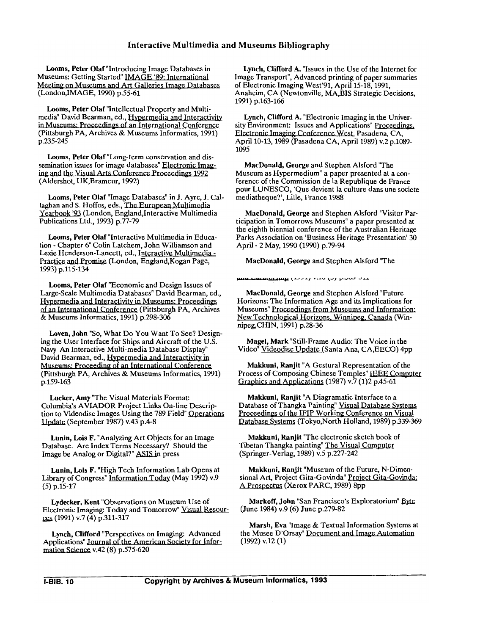Looms, Peter Olaf "Introducing Image Databases in Museums: Getting Started" **IMAGE** '89: International Meeting on Museums and Art Galleries Image Databases (London, IMAGE, 1990) p.55-61.

Looms, Peter Olaf "Intellectual Property and Multi-<br>media" David Bearman, ed., Hypermedia and Interactivity in Museums: Proceedings of an International Conference (Pittsburgh PA, Archives & Museums Informatics, 1991) p.235-245

Looms, Peter Olaf "Long-term conservation and dissemination issues for image databases" Electronic Imag-<br>ing and the Visual Arts Conference Proceedings 1992 (Aldershot, UK, Brameur, 1992)

Looms, Peter Olaf "Image Databases" in J. Ayre, J. Callaghan and S. Hoffos, eds., The European Multimedia Yearbook '93 (London, England, Interactive Multimedia Publications Ltd., 1993) p.77-79

Looms, Peter Olaf "Interactive Multimedia in Education - Chapter 6" Colin Latchem, John Williamson and Lexie Henderson-Lancett, ed., Interactive Multimedia - Practice and Promise (London, England,Kogan Page, 1993) p.115-134

Looms, Peter Olaf "Economic and Design Issues of Large-Scale Multimedia Databases" David Bearman, ed., Hypermedia and Interactivity in Museums: Proceedings ion - Chapter 6" Colin Latchem, John Williamson and<br>Lexie Henderson-Lancett, ed., Interactive Multimedia-<br>Practice and Promise (London, England, Kogan Page,<br>1993) p.115-134<br>Looms, Peter Olaf "Economic and Design Issues of<br> of an International Conference (Pittsburgh PA, Archives & Museums Informatics, 1991) p.298-306

Loven, John "So, What Do You Want To See? Designing the User Interface for Ships and Aircraft of the U.S.<br>Navy An Interactive Multi-media Database Display" David Bearman, ed., Hypermedia and Interactivity in<br>Museums: Proceeding of an International Conference (Pittsburgh PA, Archives & Museums Informatics, 1991) p.159-163

Lucker, Amy "The Visual Materials Format: Columbia's AVIADOR Project Links On-line Description to Videodisc Images Using the 789 Field" Qperations Update (September 1987) v.43 p.4-8

Lunin, Lois F. "Analyzing Art Objects for an Image Database. Are Index Terms Necessary? Should the Image be Analog or Digital?" ASIS in press

Lunin, Lois F. "High Tech Information Lab Opens at Library of Congress" Information Today (May 1992) v.9 (5) p.15-17

Lydecker, Kent "Observations on Museum Use of Electronic Imaging: Today and Tomorrow" Visual Resour-(1991) v.7 (4) p.311-317

Lynch, Clifford "Perspectives on Imaging: Advanced the Musee D'C<br>oplications" Journal of the American Society for Infor- (1992) v.12 (1) Applications" Journal of the American Society for Infor- (1992) v.12 (1)<br>mation Science v.42 (8) p.575-620

Lynch, Clifford A. "Issues in the Use of the Internet for Image Transport", Advanced printing of paper summaries of Electronic Imaging West'91, April 15-18, 1991, Anaheim, CA (Newtonville, MA,BIS Strategic Decisions, 1991) p.163-166

Lynch, Clifford A. "Electronic Imaging in the University Environment: Issues and Applications" Proceedings, Electronic Imaging Conference West, Pasadena, CA, April 10-13,1989 (Pasadena CA, April 1989) v.2 p.1089- 1095

MacDonald, George and Stephen Alsford "The Museum as Hypermedium" a paper presented at a conference of the Commission de la Republique de France pour LUNESCO, 'Que devient la culture dans une societe mediatheque?', Lille, France 1988 mond A: Electronic magnig introduces ment: Issues and Applications Proceedings,<br>maging Conference West, Pasadena, CA,<br>maging Conference West, Pasadena, CA,<br>maging Conference West, Pasadena, CA,<br>1989 (Pasadena CA, April 198

MacDonald, George and Stephen Alsford "Visitor Participation in Tomorrows Museums" a paper presented at the eighth biennial conference of the Australian Heritage Parks Association on 'Business Heritage Presentation' 30 April - 2 May, 1990 (1990) p.79-94

MacDonald, George and Stephen Alsford "The<br> **And Stephen Alsford "The Alsford"** 

MacDonald, George and Stephen Alsford "Future Horizons: The Information Age and its Implications for New Technological Horizons, Winnipeg, Canada (Win-Museums" Proceedings from Museums and Information: nipeg,CHIN, 1991) p.28-36

Magel, Mark "Still-Frame Audio: The Voice in the Video" Videodisc Update (Santa Ana, CA, EECO) 4pp

Makkuni, Ranjit "A Gestural Representation of the Process of Composing Chinese Temples" **IEEE** Computer Graphics and Applications (1987) v.7 (1)2 p.45-61

Makkuni, Ranjit "A Diagramatic Interface to a Database of Thangka Painting" Visual Database Systems Proceedings of the IFIP Working Conference on Visual Database Systems (Tokyo, North Holland, 1989) p.339-369

Makkuni, Ranjit "The electronic sketch book of Tibetan Thangka painting" The Visual Computer (Springer-Verlag, 1989) v.5 p.227-242

Makkuni, Ranjit "Museum of the Future, N-Dimensional Art, Project Gita-Govinda" Project Gita-Govinda; A Prospectus (Xerox PARC, 1989) 8pp

Markoff, John "San Francisco's Exploratorium" Byte (June 1984) v.9 (6) June p.279-82

Marsh, Eva "Image & Textual Information Systems at the Musee D'Orsay" Document and Image Automation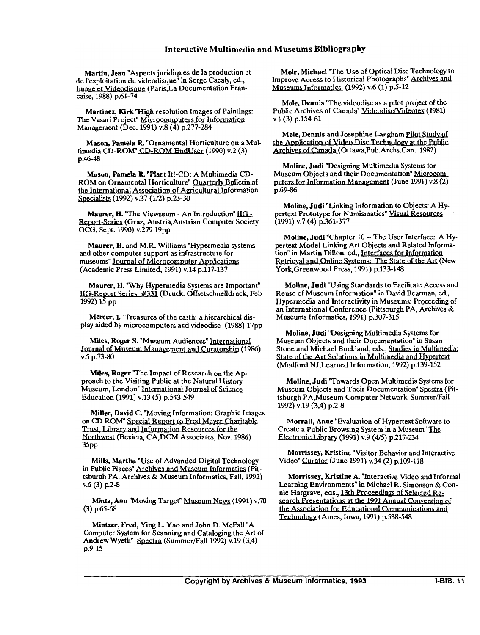Martin, Jean "Aspects juridiques de la production et de I'exploitation du videodisque" in Serge Cacaly, ed., Image et Videodisque (Paris,La Documentation Francaise, 1988) p.61-74

Martinez, Kirk "High resolution Images of Paintings: The Vasari Project" Microcomputers for Information Management (Dec. 1991) v.8 (4) p.277-284

Mason, Pamela R "Ornamental Horticulture on a Multimedia CD-ROM" CD-ROM EndUser (1990) v.2 (3) p.46-48

Mason, Pamela R "Plant It!-CD: A Multimedia CD-ROM on Ornamental Horticulture" Quarterly Bulletin of the International Association of Agricultural Information Specialists (1992) v.37 (1/2) p.23-30

Maurer, H. "The Viewseum - An Introduction" IIG -Report-Series (Graz, Austria, Austrian Computer Society OCG, Sept. 1990) v.279 19pp

Maurer, H. and M.R. Williams "Hypermedia systems and other computer support as infrastructure for museums" Journal of Microcomputer Applications (Academic Press Limited, 1991) v.14 p.117-137

Maurer, H. "Why Hypermedia Systems are Important" IIG-Report Series, #331 (Druck: Offsetschnelldruck, Feb 1992) 15 pp

Mercer, I. 'Treasures of the earth: a hierarchical display aided by microcomputers and videodisc" (1988) 17pp

Miles, Roger S. "Museum Audiences" **International**  Journal of Museum Management and Curatorship (1986) v.5 p.73-80

Miles, Roger "The Impact of Research on the Approach to the Visiting Public at the Natural History Museum, London" International Journal of Science Education (1991) v.13 (5) p.543-549

Miller, David C. "Moving Information: Graphic Images Northwest (Benicia, CA,DCM Associates, Nov. 1986) on CD ROM" Special Report to Fred Meyer Charitable<br>Trust, Library and Information Resources for the 35<sub>pp</sub>

Mills, Martha "Use of Advanded Digital Technology in Public Places" Archives and Museum Informatics (Pittsburgh PA, Archives & Museum Informatics, Fall, 1992) v.6 (3) p.2-8

Mintz, Ann "Moving Target" Museum News (1991) v.70  $(3)$  p.65-68

Mintzer, Fred, Ying L. Yao and John D. McFall "A Computer System for Scanning and Cataloging the Art of Andrew Wyeth" *SDectra* (Summer/Fall 1992) v.19 (3,4) p.9-15

Moir, Michael 'The Use of Optical Disc Technology to Improve Access to Historical Photographs" Archives and Museums Informatics. (1992) v.6  $(1)$  p.5-12

Mole, Dennis "The videodisc as a pilot project of the Public Archives of Canada" Videodisc/Videotex (1981) v.1 (3) p.154-61

Mole, Dennis and Josephine Langham Pilot Study of the Application of Video Disc Technology at the Public Archives of Canada (Ottawa,Pub.Archs.Can.. 1982)

Moline, Judi "Designing Multimedia Systems for Archives of Canada (Ottawa,Pub.Archs.C<br>Moline, Judi "Designing Multimedia S.<br>Museum Objects and their Documentation<br>puters for Information Management (Jun<br>p.69-86 Museum Objects and their Documentation" Microcom-(June 1991) v.8 (2) p.69-86

Moline, Judi "Linking Information to Objects: A **Hy**pertext Prototype for Numismatics" Visual Resources (1991) v.7 (4) p.361-377

Alexocialition of Agricultural Information<br>
20.30 (120) p.23-30<br>
20.30 (120) p.23-30<br>
The Viewseum - An Introduction IEG<sub>2</sub> pertext Prototype for Numismatics' <u>Visual Resources</u><br>
CHAR, Austria, Australian Computer Society Moline, Judi "Chapter 10 -- The User Interface: A **Hy**pertext Model Linking Art Objects and Related Information" in Martin Dillon, ed., Interfaces for Information<br>Retrieval and Online Systems: The State of the Art (New<br>York Greenwood Press 1991) p.133-148 York,Greenwood Press, 1991) p.133-148

Moline, Judi "Using Standards to Facilitate Access and Reuse of Museum Information" in David Bearman, ed.,<br>Hypermedia and Interactivity in Museums: Proceeding of pertext Model Linking Art Objects and Related Information" in Martin Dillon, ed., Interfaces for Information<br>Retrieval and Online Systems: The State of the Art (New<br>York, Greenwood Press, 1991) p.133-148<br>Moline, Judi "Usin Museums Informatics, 1991) p.307-315

Moline, Judi "Designing Multimedia Systems for<br>Museum Objects and their Documentation" in Susan Stone and Michael Buckland, eds., Studies in Multimedia:<br>State of the Art Solutions in Multimedia and Hypertext (Medford NJ,Learned Information, 1992) p.139-152

Moline, Judi "Towards Open Multimedia Systems for Museum Objects and Their Documentation" *SDectra* (Pittsburgh PA,Museum Computer Network, Summer/Fall 1992) v.19 (3,4) p.2-8

Morrall, Anne "Evaluation of Hypertext Software to Create a Public Browsing System in a Museum" The Create a Public Browsing System in a Museum" **The** . . Electronic (1991) v.9 (415) p.217-234

Morrissey, Kristine "Visitor Behavior and Interactive Video" Curator (June 1991) v.34 (2) p.109-118

Morrissey, Kristine A. "Interactive Video and Informal Learning Environments" in Michael R. Simonson & Connie Hargrave, Technologv (Ames, Iowa, 1991) p.538-548 search Presentations at the 1991 Annual Convention of<br>the Association for Educational Communications and "Linking Information to Objects: A Hy-<br>
2. for Numismatics" Visual Resources<br>
361-377<br>
"Chapter 10 -- The User Interface: A Hy-<br>
inking Art Objects and Related Information<br>
Dillion, ed., <u>Interfaces for Information</u><br>
Influ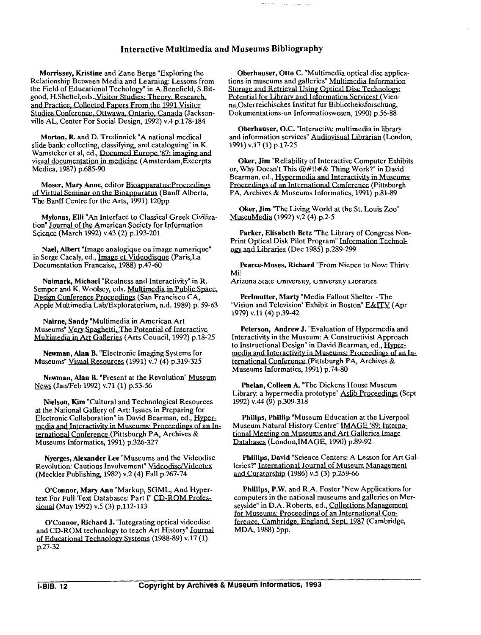Morrissey, Kristine and Zane Berge "Exploring the Relationship Between Media and Learning: Lessons from Relationship Between Media and Learning: Lessons from<br>the Field of Educational Techology" in A.Benefield, S.Bit-<br>good, H.Shettel, eds., <u>Visitor Studies: Theory, Research.</u><br>and Practice, Collected Papers From the 1991 Visi good, H.Shettel,eds.,<u>Visitor Studies: Theory, Research.</u><br>and Practice, Collected Papers From the 1991 Visitor ville AL, Center For Social Design, 1992) v.4 p.178-184 Morrissey, Kristine and Zane Berge "Exploring the Coberhauser, Otto C. "Mealtaionship Between Media and Learning: Lessons from tons in museums and gale<br>the Field of Educational Techology" in A.Benefield, S.Bt. Storage and

Morton, R. and D. Tredinnick "A national medical slide bank: collecting, classifying, and cataloguing" in K.<br>Wamsteker et al, ed., Documed Europe '87: imaging and visual documentation in medicine (Amsterdam, Excerpta<br>Medica, 1987) p.685-90

Moser, Mary Anne, editor Bioapparatus: Proceedings of Virtual Seminar on the Bioapparatus (Banff Alberta, The Banff Centre for the Arts, 1991) 120pp

Mylonas, Elli "An Interface to Classical Greek Civilization" Journal of the American Society for Information Science (March 1992) v.43 (2) p.193-201

Nael, Albert "Image analogique ou image numerique" in Serge Cacaly, ed., Image et Videodisque (Paris, La Documentation Francaise, 1988) p.47-60

Naimark, Michael "Realness and Interactivity" in R. Semper and K. Woolsey, eds. Multimedia in Public Space. Design Conference Proceedings (San Francisco CA, Apple Multimedia LablExploratorium, n.d. 1989) p. 59-63

Nairne, Sandy "Multimedia in American Art Museums" Very Spaghetti, The Potential of Interactive<br>Multimedia in Art Galleries (Arts Council, 1992) p.18-25

Newman, Alan B. "Electronic Imaging Systems for Museums" Visual Resources (1991) v.7 (4) p.319-325

Newman, Alan B. "Present at the Revolution" Museum (Jan/Feb 1992) v.71 (1) p.53-56

Nielson, Kim "Cultural and Technological Resources at the National Gallery of Art: Issues in Preparing for Electronic Collaboration" in David Bearman, ed., Hypermedia and Interactivity in Museums: Proceedings of an International Conference (Pittsburgh PA, Archives & Museums Informatics, 1991) p.326-327

O'Connor, Mary Ann "Markup, SGML, And Hyper-<br>
text For Full-Text Databases: Part I" CD-ROM Profes-<br>
sional (May 1992) v.5 (3) p.112-113<br>
for Museums: Proceedings of

and CD-ROM technology to teach Art History" Journal MDA, 1988) 5pp. of Educational Technology Systems (1988-89) v.17 (1) p.27-32

Oberhauser, Otto C. "Multimedia optical disc applications in museums and galleries" Multimedia Information Potential for Librarv and Information Servicest (Vienna,Osterreichisches Institut fur Bibliotheksforschung, Dokumentations-un Informatioswesen, 1990) p.56-88 Museums Bibliography<br>
Oberhauser, Otto C. "Multimedia optical disc applica-<br>
ions in museums and galleries" Multimedia Information<br>
Slorings and Retrieval Using Optical Disc Technology<br>
Potential for Library and Informati

Oberhauser, O.C. "Interactive multimedia in library and information services" Audiovisual Librarian (London, 1991) v.17 (1) p.17-25

Oker, Jim "Reliability of Interactive Computer Exhibits or, Why Doesn't This  $@#!!# \&$  Thing Work?" in David Bearman, ed., Hypermedia and Interactivity in Museums: Proceedings of an International Conference (Pittsburgh PA, Archives & Museums Informatics, 1991) p.81-89

Oker, Jim "The Living World at the St. Louis Zoo" MuseuMedia (1992) v.2 (4) p.2-5

Parker, Elisabeth Betz "The Library of Congress Non-Print Optical Disk Pilot Program" (Dec 1985) p.289-299

Pearce-Moses, Richard "From Niepce to Now: Thirty  $M$ i $\vert$ 

Arizona State University, University Libraries

Perlmutter, Marty "Media Fallout Shelter - The 'Vision and Television' Exhibit in Boston" E&ITV (Apr 1979) v.ll(4) p.39-42

Peterson, Andrew J. "Evaluation of Hypermedia and Interactivity in the Museum: A Constructivist Approach to Instructional Design" in David Bearman, ed., media and Interactivity in Museums: Proceedings of an International Conference (Pittsburgh PA, Archives & Museums Informatics, 1991) p.74-80

Phelan, Colleen **A.** "The Dickens House Museum Library: a hypermedia prototype" Aslib Proceedings (Sept 1992) v.44 (9) p.309-318

Philips, Phillip "Museum Education at the Liverpool Museum Natural History Centre" **IMAGE '89: International Meeting on Museums and Art Galleries Image** Databases (London, IMAGE, 1990) p.89-92

Nyerges, Alexander Lee "Museums and the Videodisc Phillips, David "Science Centers: A Lesson for Art Gal-<br>Revolution: Cautious Involvement" <u>Videodisc/Videotex</u> leries?" International Journal of Museum Management<br>(Meckler

O'Connor, Mary Ann "Markup, SGML, And Hyper-<br>
the P.M. and R.A. Foster "New Applications for the Allian of Park of The Poster "New Applications for the Act<br>
the national museums and galleries on Mertext For Full-Text Databases: Part I" CD-ROM Profes- computers in the national museums and galleries on Merfor Museums: Proceedings of an International Con-O'Connor, Mary Ann Markup, SGML, And Hyper-<br>
Things, P.W. and R.A. Poster New Applications to<br>
the For Full-Text Databases: Part I'' CD-ROM Profes-<br>
mal (May 1992) v.5 (3) p.112-113<br>
O'Connor, Richard J. "Integrating optic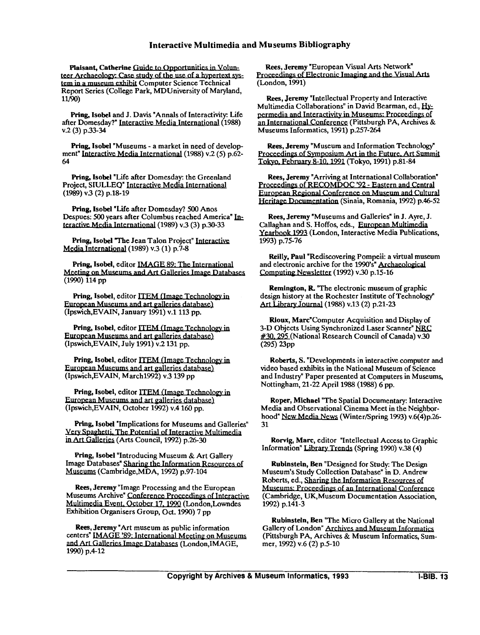**Plaisant, Catherine Guide to Opportunities in Volun**teer Archaeology: Case study of the use of a hypertext system in a museum exhibit Computer Science Technical Report Series (College Park, MDUniversity of Maryland, 11/90)

Pring, Isobel and J. Davis "Annals of Interactivity: Life after Domesday?" Jnteractive Media International (1988) v.2 (3) p.33-34

Pring, Isobel "Museums - a market in need of development" Interactive Media International (1988) v.2 (5) p.62-64

Pring, Isobel "Life after Domesday: the Greenland Project, SIULLEQ" Interactive Media International (1989) v.3 (2) p.18-19

Pring, Isobel "Life after Domesday? 500 Anos Despues: 500 years after Columbus reached America" Interactive Media International (1989) v.3 (3) p.30-33

Pring, Isobel "The Jean Talon Project<br>Media International (1989) v.3 (1) p.7-8 Pring, Isobel "The Jean Talon Project" Interactive

Pring, Isobel, editor **IMAGE 89: The International**<br>Meeting on Museums and Art Galleries Image Databases

Pring, Isobel, editor ITEM (Image Technology in European Museums and art galleries database) (Ipswich,EVAIN, January 1991) v.1 113 pp.

Pring, Isobel, editor ITEM (Image Technology in European Museums and art galleries database) (Ipswich,EVAIN, July 1991) v.2 131 pp.

Pring, Isobel, editor ITEM (Image Technology in European Museums and art galleries database) (Ipswich,EVAIN, March1992) v.3 139 pp

Pring, Isobel, editor ITEM (Image Technology in European Museums and art galleries database) (Ipswich,EVAIN, October 1992) v.4 160 pp.

Pring, Isobel "Implications for Museums and Galleries" Very Spaghetti, The Potential of Interactive Multimedia in Art Galleries (Arts Council, 1992) p.26-30

Pring, Isobel "Introducing Museum & Art Gallery Image Databases" Sharing the Information Resources of Museums (Cambridge,MDA, 1992) p.97-104

Rees, Jeremy "Image Processing and the European Museums Archive" Conference Proceedings of Interactive Multimedia Event, October 17, 1990 (London,Lowndes Exhibition Organisers Group, Oct. 1990) 7 pp

Rees, Jeremy "Art museum as public information Multimedia Event, October 17, 1990 (London, Latin Multimedia Event, October 17, 1990 (London, Latin Exhibition Organisers Group, Oct. 1990) 7 pp<br>Rees, Jeremy "Art museum as public information and Art Galleries Image Databa centers" IMAGE '89: International Meeting on Museums and Art Galleries Image Databases (London, IMAGE, 1990) p.4-12

Rees, Jeremy "European Visual Arts Network"<br>Proceedings of Electronic Imaging and the Visual Arts (London, 1991)

Frience is the meaning of the meaning of the state of the state of the state of the state of the state of the state of the state of the state of the state of the state of the state of the state of the state of the state o Rees, Jeremy "Intellectual Property and Interactive<br>
Multimedia Collaborations" in David Bearman, ed., Hy-<br>
normadia and Interactivity in Museums: Proceedings of permedia and Interactivity in Museums: Proceedings of an International Conference (Pittsburgh PA, Archives & Museums Informatics, 1991) p.257-264 Rees, Jeremy "European Visual Arts Network"<br>
roccedings of Electronic Imaging and the Visual Arts<br>
London, 1991<br>
Rees, Jeremy "Intellectual Property and Interactive<br>
Reilly, the Multimedia Collaborations" in David Bearman,

**Rees,** Jeremy "Museum and Information Technology" Proceedings of Symposium Art in the Future. Art Summit Tokyo, February 8-10, 1991 (Tokyo, 1991) p.81-84

Rees, Jeremy "Arriving at International Collaboration" Proceedings of RECOMDOC '92 - Eastern and Central **European Regional Conference on Museum and Cultural Heritage Documentation (Sinaia, Romania, 1992) p.46-52** 

Rees, Jeremy "Museums and Galleries" in J. Ayre, J. Callaghan and S. Hoffos, eds., European Multimedia Yearbook 1993 (London, Interactive Media Publications, 1993) p.75-76

Computing Newsletter (1992) v.30 p.15-16

Remington, R "The electronic museum of graphic Computing Newsletter<br>
Remington, R. "The<br>
design history at the Re<br>
Art Library Journal (19 design history at the Rochester Institute of Technology" Art Library Journal (1988) v.13 (2) p.21-23

Rioux, Marc"Computer Acquisition and Display of 3-D Objects Using Synchronized Laser Scanner" **NRC**  #30.295 (National Research Council of Canada) v.30  $(295)$   $23$ pp

Roberts, S. "Developments in interactive computer and video based exhibits in the National Museum of Science and Industry" Paper presented at Computers in Museums, Nottingham, 21-22 April 1988 (1988) 6 pp.

Roper, Michael "The Spatial Documentary: Interactive Media and Observational Cinema Meet in the Neighborhood" New Media News (Winter/Spring 1993) v.6(4)p.26-31

Rorvig, Marc, editor "Intellectual Access to Graphic Information" Library Trends (Spring 1990) v.38 (4)

Rubinstein, Ben "Designed for Study: The Design Museum's Study Collection Database" in D. Andrew Roberts, ed., Sharing the Information Resources of Museums: Proceedings of an International Conference (Cambridge, UK,Museum Documentation Association, 1992) p.141-3

Rubinstein, Ben "The Micro Gallery at the National Gallery of London" Archives and Museum Informatics (Pittsburgh PA, Archives & Museum Informatics, Summer, 1992) v.6 (2) p.5-10

**Copyright by Archives** & **Museum Informatics, 1993 I-BIB. 13**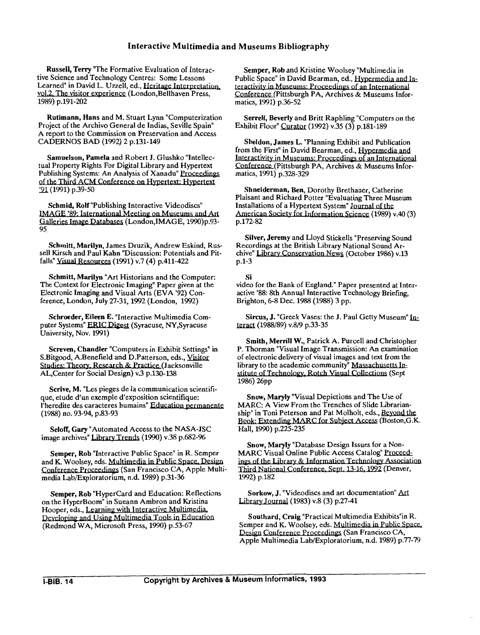Russell, Terry "The Formative Evaluation of Interactive Science and Technology Centres: Some Lessons Learned" in David L. Uzzell, ed., Heritage Interpretation. vo1.2. The visitor experience (London,Bellhaven Press, 1989) p.191-202

Rutimann, Hans and M. Stuart Lynn "Computerization Project of the Archivo General de Indias, Seville Spain" A report to the Commission on Preservation and Access CADERNOS BAD (1992) 2 p.131-149

Samuelson, Pamela and Robert J. Glushko "Intellectual Property Rights For Digital Library and Hypertext Publishing Systems: An Analysis of Xanadu" **Proceedines**  (1991) p.39-50 (1999) p.191-202<br> **Rutimann, Hans** and M. Stuart Lynn "Completion"<br>
Project of the Archivo General de Indias, Seville<br>
A report to the Commission on Preservation and<br>
CADERNOS BAD (1992) 2 p.131-149<br>
Samuelson, Pamela and

Schmid, Rolf "Publishing Interactive Videodiscs"<br>IMAGE '89: International Meeting on Museums and Art Galleries Image Databases (London,IMAGE, 1990)p.93- 95

Schmitt, Marilyn, James Druzik, Andrew Eskind, Russell Kirsch and Paul Kahn "Discussion: Potentials and Pit-<br>falls" <u>Visual Resources</u> (1991) v.7 (4) p.411-422

Schmitt, Marilyn "Art Historians and the Computer: The Context for Electronic Imaging" Paper given at the Electronic Imaging and Visual Arts (EVA '92) Conference, London, July 27-31,1992 (London, 1992)

Schroeder, Eileen E. "Interactive Multimedia Computer Systems" **ERlC** (Syracuse, NY,Syracuse University, Nov. 1991)

Screven, Chandler "Computers in Exhibit Settings" in S.Bitgood, A.Benefield and D.Patterson, eds., Visitor **Studies: Theory, Research & Practice (Jacksonville** AL,Center for Social Design) v.3 p.130-138

Scrive, M. "Les pieges de la communication scientifique, etude d'un exemple d'exposition scientifique: I'heredite des caracteres humains" (1988) no. 93-94, p.83-93

Seloff, Gary "Automated Access to the NASA-JSC image archives" Library Trends (1990) v.38 p.682-96

Semper, Rob "Interactive Public Space" in R. Semper and K. Woolsey, eds. Multimedia in Public Space, Design Conference Proceedings (San Francisco CA, Apple Multimedia Lab/Exploratorium, n.d. 1989) p.31-36

Semper, Rob "Hypercard and Education: Reflections on the HyperBoom" in Sueann Ambron and Kristina Hooper, eds., Learning with Interactive Multimedia. Developing and Using Multimedia Tools in Education (Redmond WA, Microsoft Press, 1990) p.53-67

Semper, Rob and Kristine Woolsey "Multimedia in Public Space" in David Bearman, ed., Hypermedia and Interactivity in Museums: Proceedings of an International Conference (Pittsburgh PA, Archives & Museums Informatics, 1991) p.36-52

Serrell, Beverly and Britt Raphling "Computers on the Exhibit Floor" Curator (1992) v.35 (3) p.181-189

Sheldon, James L. "Planning Exhibit and Publication from the First" in David Bearman, ed., Interactivity in Museums: Proceedings of an International Conference(Pittsburgh PA, Archives & Museums Informatics, 1991) p.328-329

Shneiderman, Ben, Dorothy Brethauer, Catherine Plaisant and Richard Potter "Evaluating Three Museum Installations of a Hypertext System" Journal of the<br>American Society for Information Science (1989) v.40 (3) **Shneiderman, Ben**, Dorothy Brethauer, Catherine<br>Plaisant and Richard Potter "Evaluating Three Museum<br>Installations of a Hypertext System" Journal of the<br>American Society for Information Science (1989) v.40 (3)<br>p.172-82 p.172-82

Silver, Jeremy and Lloyd Stickells "Preserving Sound Recordings at the British Library National Sound Archive" Library Conservation News (October 1986) v.13 p.1-3

 $\mathbf{S}$ i $\mathbf{S}$ video for the Bank of England." Paper presented at Interactive '88: 8th Annual Interactive Technology Briefing, Brighton, 6-8 Dec. 1988 (1988) 3 pp.

Sircus, J. "Greek Vases: the J. Paul Getty Museum" Interact (1988/89) v.8/9 p.33-35

Smith, Merrill W., Patrick A. Purcell and Christopher P. Thorman "Visual Image Transmission: An examination of electronic delivery of visual images and text from the library to the academic community" Massachusetts Institute of Technology, Rotch Visual Collections (Sept 1986) 26pp Museum" <u>In-</u><br>Christopher<br>examination<br>from the<br>setts In-<br>ns (Sept<br>Use of<br>Librarian-<br><u>Beyond the</u><br>Boston,G.K.

Snow, Maryly "Visual Depictions and The Use of MARC: A View From the Trenches of Slide Librarianship" in Toni Peterson and Pat Molholt, eds., Stitute of Technology, Rotch Visual Collections (Sep<br>1986) 26pp<br>Snow, Maryly "Visual Depictions and The Use of<br>MARC: A View From the Trenches of Slide Libraria<br>ship" in Toni Peterson and Pat Molholt, eds., <u>Beyonq</u><br>Book: E (Boston,G.K. Hall, 1990) p.225-235

Snow, Maryly "Database Design Issues for a Non-MARC Visual Online Public Access Catalog" Proceed-<br>ings of the Library & Information Technology Association Third National Conference, Sept. 13-16, 1992 (Denver, 1992) p.182

Sorkow, J. "Videodiscs and art documentation" Art Library Journal (1983) v.8 (3) p.27-41

Southard, Craig "Practical Multimedia Exhibits"in R.<br>Semper and K. Woolsey, eds. Multimedia in Public Space. Design Conference Proceedings (San Francisco CA, Apple Multimedia Lab/Exploratorium, n.d. 1989) p.77-79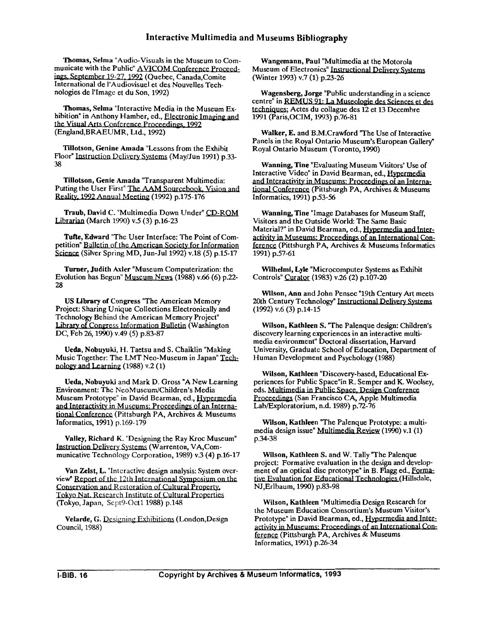Thomas, Selma "Audio-Visuals in the Museum to Communicate with the Public" AVICOM Conference Proceed ings, September 19-27, 1992 (Quebec, Canada,Comite International de I'Audiovisuel et des Nouvelles Technologies de l'Image et du Son, 1992)

Thomas, Selma "Interactive Media in the Museum Exhibition" in Anthony Hamber, ed., Electronic Imaging and the Visual Arts Conference Proceedings, 1992 (England,BRAEUMR, Ltd., 1992)

Tillotson, Genine Amada "Lessons from the Exhibit Floor" Instruction Delivery Systems (May/Jun 1991) p.33-38

Tillotson, Genie Amada "Transparent Multimedia: Putting the User First" The AAM Sourcebook. Vision and Reality, 1992 Annual Meeting (1992) p.175-176

Traub, David C. "Multimedia Down Under" CD-ROM **Librarian** (March 1990) v.5 (3) p.16-23

Tufte, Edward "The User Interface: The Point of Competition" Bulletin of the American Societv for Information Science (Silver Spring MD, Jun-Jul 1992) v.18 (5) p.15-17

Turner, Judith Axler "Museum Computerization: the Evolution has Begun" Museum News (1988) v.66 (6) p.22- 28

US Library of Congress "The American Memory Project: Sharing Unique Collections Electronically and Technology Behind the American Memory Project" Library of Congress Information Bulletin (Washington DC, Feb 26, 1990) v.49 (5) p.83-87

Ueda, Nobuyuki, H. Taetsu and S. Chaiklin "Making Music Together: The LMT Neo-Museum in Japan" nology and Learning  $(1988)$  v.2  $(1)$ 

Ueda, Nobuyuki and Mark D. Gross "A New Learning Environment: The NeoMuseum/Children's Media Museum Prototype" in David Bearman, ed., Hypermedia and Interactivity in Museums: Proceedings of an Interna-<br>tional Conference (Pittsburgh PA, Archives & Museums<br>Informatics 1991) p.160,179 Informatics, 1991) p.169-179

Valley, Richard K. "Designing the Ray Kroc Museum"<br>Instruction Delivery Systems (Warrenton, VA,Com-<br>municative Technology Corporation, 1980) v.3 (4) p.16,17 municative Technology Corporation, 1989) v.3 (4) p.16-17

Van Zelst, L. "Interactive design analysis: System over-<br>view" Report of the 12th International Symposium on the Environment: 1 nc NeoMuseum/Children's Media<br>
Museum Prototype" in David Bearman, ed., Hypermedia<br>
and Interactivity in Museums: Proceedings of an Interna-<br>
ional Conference (Pittsburgh PA, Archives & Museums<br>
informatics, Conservation and Restoration of Cultural Property.<br>Tokyo Nat. Research Institute of Cultural Properties (Tokyo, Japan, Scpt9-Octl 1988) p.148

Velarde, G. Designing Exhibitions (London,Design Council, 1988)

Wangemann, Paul "Multimedia at the Motorola **Museum of Electronics" Instructional Delivery Systems** (Winter 1993) v.7 (1) p.23-26

Wagensberg, Jorge "Public understanding in a science Winter 1993) v.7<br>Wagensberg, Jo<br>centre" in REMUS<br>echniques; Actes<br>1991 (Paris,OCIM) centre" in **REMUS 91: La Museologie des Sciences et des** Actes du collague des 12 et 13 Decembre 1991 (Paris,OCIM, 1993) p.76-81

Walker, E. and B.M.Crawford "The Use of Interactive Panels in the Royal Ontario Museum's European Gallery" Royal Ontario Museum (Toronto, 1990)

Wanning, Tine "Evaluating Museum Visitors' Use of Interactive Video" in David Bearman, ed., **Hwermedia**  and Interactivity in Museums: Proceedings of an International Conference (Pittsburgh PA, Archives & Museums Informatics, 1991) p.53-56

Wanning, Tine "Image Databases for Museum Staff, Visitors and the Outside World: The Same Basic Material?" in David Bearman, ed., Hypermedia and Inter-<br>activity in Museums: Proceedings of an International Conference (Pittsburgh PA, Archives & Museums Informatics 1991) p.57-61

Wilhelmi, Lyle "Microcomputer Systems as Exhibit Controls" Curator (1983) v.26 (2) p.107-20

Wilson, Ann and John Pensec "19th Century Art meets 20th Century Technology" Instructional Delivery Systems (1992) v.6 (3) p.14-15

Wilson, Kathleen S. 'The Palenque design: Children's discovery learning experiences in an interactive multimedia environment" Doctoral dissertation, Harvard University, Graduate School of Education, Department of Human Development and Psychology (1988)

Wilson, Kathleen "Discovery-based, Educational Experiences for Public Space"in R. Semper and K. Woolsey, eds. Multimedia in Public Space, Design Conference **Proceedines** (San Francisco CA, Apple Multimedia Lab/Exploratorium, n.d. 1989) p.72-76

Wilson, Kathleen "The Palenque Prototype: a multimedia design issue" Multimedia Review (1990) v.1 (1) p.34-38

Wilson, Kathleen S. and W. Tally "The Palenque project: Formative evaluation in the design and development of an optical disc prototype" in B. Flagg ed., Formative Evaluation for Educational Technologies (Hillsdale, NJ,Erlbaum, 1990) p.83-98

Wilson, Kathleen "Multimedia Design Research for the Museum Education Consortium's Museum Visitor's Prototype" in David Bearman, ed., Hypermedia and Interactivity in Museums: Proceedings of an International Conference (Pittsburgh PA, Archives & Museums Informatics, 1991) p.26-34